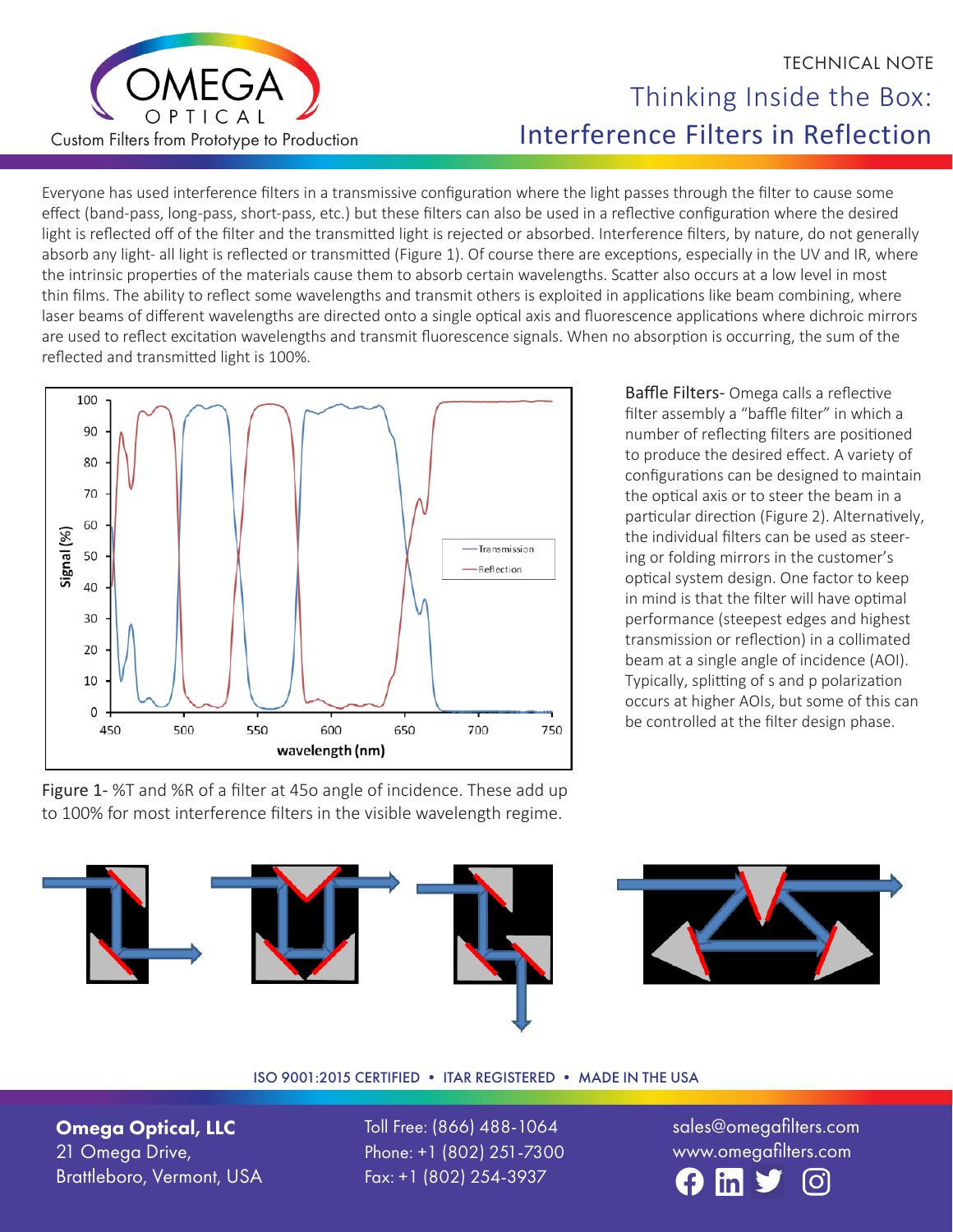

## TECHNICAL NOTE Thinking Inside the Box: Interference Filters in Reflection

Everyone has used interference filters in a transmissive configuration where the light passes through the filter to cause some effect (band-pass, long-pass, short-pass, etc.) but these filters can also be used in a reflective configuration where the desired light is reflected off of the filter and the transmitted light is rejected or absorbed. Interference filters, by nature, do not generally absorb any light- all light is reflected or transmitted (Figure 1). Of course there are exceptions, especially in the UV and IR, where the intrinsic properties of the materials cause them to absorb certain wavelengths. Scatter also occurs at a low level in most thin films. The ability to reflect some wavelengths and transmit others is exploited in applications like beam combining, where laser beams of different wavelengths are directed onto a single optical axis and fluorescence applications where dichroic mirrors are used to reflect excitation wavelengths and transmit fluorescence signals. When no absorption is occurring, the sum of the reflected and transmitted light is 100%.



Figure 1- %T and %R of a filter at 45o angle of incidence. These add up to 100% for most interference filters in the visible wavelength regime.

Baffle Filters- Omega calls a reflective filter assembly a "baffle filter" in which a number of reflecting filters are positioned to produce the desired effect. A variety of configurations can be designed to maintain the optical axis or to steer the beam in a particular direction (Figure 2). Alternatively, the individual filters can be used as steering or folding mirrors in the customer's optical system design. One factor to keep in mind is that the filter will have optimal performance (steepest edges and highest transmission or reflection) in a collimated beam at a single angle of incidence (AOI). Typically, splitting of s and p polarization occurs at higher AOIs, but some of this can be controlled at the filter design phase.





## ISO 9001:2015 CERTIFIED • ITAR REGISTERED • MADE IN THE USA

Omega Optical, LLC 21 Omega Drive, Brattleboro, Vermont, USA Toll Free: (866) 488-1064 Phone: +1 (802) 251-7300 Fax: +1 (802) 254-3937

sales@omegafilters.com www.omegafilters.com